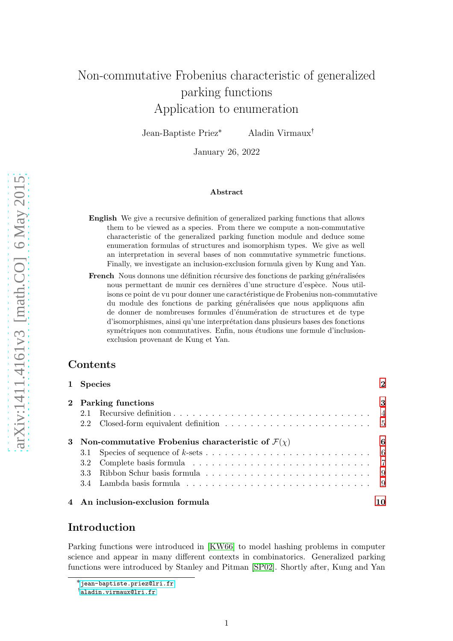# Non-commutative Frobenius characteristic of generalized parking functions Application to enumeration

Jean-Baptiste Priez \* Aladin Virmaux<sup>†</sup>

January 26, 2022

#### Abstract

- English We give a recursive definition of generalized parking functions that allows them to be viewed as a species. From there we compute a non-commutative characteristic of the generalized parking function module and deduce some enumeration formulas of structures and isomorphism types. We give as well an interpretation in several bases of non commutative symmetric functions. Finally, we investigate an inclusion-exclusion formula given by Kung and Yan.
- **French** Nous donnons une définition récursive des fonctions de parking généralisées nous permettant de munir ces dernières d'une structure d'espèce. Nous utilisons ce point de vu pour donner une caractéristique de Frobenius non-commutative du module des fonctions de parking généralisées que nous appliquons afin de donner de nombreuses formules d'énumération de structures et de type d'isomorphismes, ainsi qu'une interpr´etation dans plusieurs bases des fonctions symétriques non commutatives. Enfin, nous étudions une formule d'inclusionexclusion provenant de Kung et Yan.

# Contents

| 1 Species                                                                                       |  |   |  |  |  |  |  |  |  |  |  |
|-------------------------------------------------------------------------------------------------|--|---|--|--|--|--|--|--|--|--|--|
| 2 Parking functions                                                                             |  | 3 |  |  |  |  |  |  |  |  |  |
|                                                                                                 |  |   |  |  |  |  |  |  |  |  |  |
| 2.2 Closed-form equivalent definition $\ldots \ldots \ldots \ldots \ldots \ldots \ldots \ldots$ |  |   |  |  |  |  |  |  |  |  |  |
| 3 Non-commutative Frobenius characteristic of $\mathcal{F}(\chi)$                               |  |   |  |  |  |  |  |  |  |  |  |
| 3.1                                                                                             |  |   |  |  |  |  |  |  |  |  |  |
|                                                                                                 |  |   |  |  |  |  |  |  |  |  |  |
|                                                                                                 |  |   |  |  |  |  |  |  |  |  |  |
|                                                                                                 |  |   |  |  |  |  |  |  |  |  |  |
| 4 An inclusion-exclusion formula                                                                |  |   |  |  |  |  |  |  |  |  |  |

# Introduction

Parking functions were introduced in [\[KW66\]](#page-11-0) to model hashing problems in computer science and appear in many different contexts in combinatorics. Generalized parking functions were introduced by Stanley and Pitman [\[SP02\]](#page-11-1). Shortly after, Kung and Yan

<sup>˚</sup> <jean-baptiste.priez@lri.fr>

 $^\dagger$ <aladin.virmaux@lri.fr>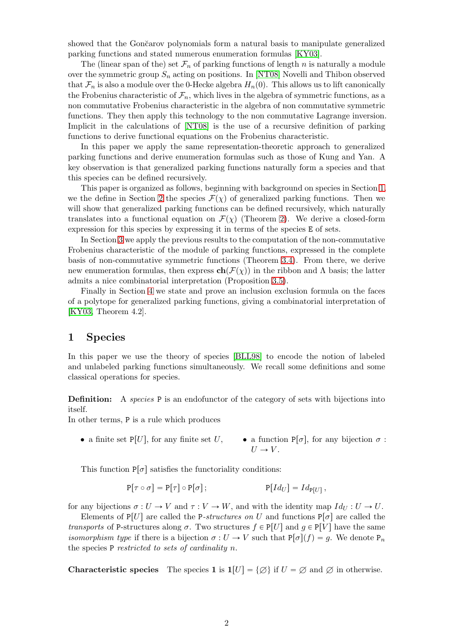showed that the Gončarov polynomials form a natural basis to manipulate generalized parking functions and stated numerous enumeration formulas [\[KY03\]](#page-11-2).

The (linear span of the) set  $\mathcal{F}_n$  of parking functions of length n is naturally a module over the symmetric group  $S_n$  acting on positions. In [\[NT08\]](#page-11-3) Novelli and Thibon observed that  $\mathcal{F}_n$  is also a module over the 0-Hecke algebra  $H_n(0)$ . This allows us to lift canonically the Frobenius characteristic of  $\mathcal{F}_n$ , which lives in the algebra of symmetric functions, as a non commutative Frobenius characteristic in the algebra of non commutative symmetric functions. They then apply this technology to the non commutative Lagrange inversion. Implicit in the calculations of [\[NT08\]](#page-11-3) is the use of a recursive definition of parking functions to derive functional equations on the Frobenius characteristic.

In this paper we apply the same representation-theoretic approach to generalized parking functions and derive enumeration formulas such as those of Kung and Yan. A key observation is that generalized parking functions naturally form a species and that this species can be defined recursively.

This paper is organized as follows, beginning with background on species in Section [1,](#page-1-0) we the define in Section [2](#page-2-0) the species  $\mathcal{F}(\chi)$  of generalized parking functions. Then we will show that generalized parking functions can be defined recursively, which naturally translates into a functional equation on  $\mathcal{F}(\chi)$  (Theorem [2\)](#page-4-1). We derive a closed-form expression for this species by expressing it in terms of the species E of sets.

In Section [3](#page-5-0) we apply the previous results to the computation of the non-commutative Frobenius characteristic of the module of parking functions, expressed in the complete basis of non-commutative symmetric functions (Theorem [3.4\)](#page-7-0). From there, we derive new enumeration formulas, then express  $ch(\mathcal{F}(\chi))$  in the ribbon and Λ basis; the latter admits a nice combinatorial interpretation (Proposition [3.5\)](#page-8-2).

Finally in Section [4](#page-9-0) we state and prove an inclusion exclusion formula on the faces of a polytope for generalized parking functions, giving a combinatorial interpretation of [\[KY03,](#page-11-2) Theorem 4.2].

# <span id="page-1-0"></span>1 Species

In this paper we use the theory of species [\[BLL98\]](#page-11-4) to encode the notion of labeled and unlabeled parking functions simultaneously. We recall some definitions and some classical operations for species.

**Definition:** A species P is an endofunctor of the category of sets with bijections into itself.

In other terms, P is a rule which produces

• a finite set P[U], for any finite set U, • a function P[ $\sigma$ ], for any bijection  $\sigma$ :  $U \rightarrow V$ .

This function  $P[\sigma]$  satisfies the functoriality conditions:

$$
P[\tau \circ \sigma] = P[\tau] \circ P[\sigma]; \qquad P[Id_U] = Id_{P[U]},
$$

for any bijections  $\sigma: U \to V$  and  $\tau: V \to W$ , and with the identity map  $Id_U: U \to U$ .

Elements of P[U] are called the P-structures on U and functions  $P[\sigma]$  are called the transports of P-structures along  $\sigma$ . Two structures  $f \in P[U]$  and  $g \in P[V]$  have the same *isomorphism type* if there is a bijection  $\sigma: U \to V$  such that  $P[\sigma](f) = q$ . We denote  $P_n$ the species  $P$  restricted to sets of cardinality n.

**Characteristic species** The species 1 is  $1[U] = {\emptyset}$  if  $U = \emptyset$  and  $\emptyset$  in otherwise.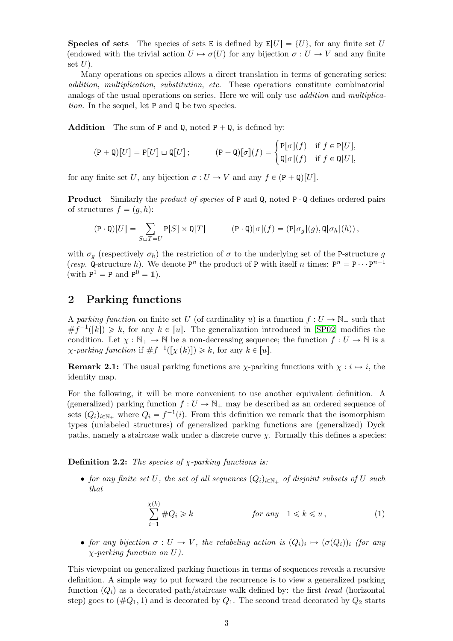**Species of sets** The species of sets E is defined by  $E[U] = \{U\}$ , for any finite set U (endowed with the trivial action  $U \mapsto \sigma(U)$  for any bijection  $\sigma : U \to V$  and any finite set  $U$ ).

Many operations on species allows a direct translation in terms of generating series: addition, multiplication, substitution, etc. These operations constitute combinatorial analogs of the usual operations on series. Here we will only use *addition* and *multiplica*tion. In the sequel, let P and Q be two species.

**Addition** The sum of P and Q, noted  $P + Q$ , is defined by:

$$
(\mathsf{P} + \mathsf{Q})[U] = \mathsf{P}[U] \sqcup \mathsf{Q}[U]; \qquad (\mathsf{P} + \mathsf{Q})[\sigma](f) = \begin{cases} \mathsf{P}[\sigma](f) & \text{if } f \in \mathsf{P}[U], \\ \mathsf{Q}[\sigma](f) & \text{if } f \in \mathsf{Q}[U], \end{cases}
$$

for any finite set U, any bijection  $\sigma: U \to V$  and any  $f \in (P + Q)[U]$ .

**Product** Similarly the *product of species* of P and Q, noted  $P \cdot Q$  defines ordered pairs of structures  $f = (g, h)$ :

$$
(\mathtt{P} \cdot \mathtt{Q})[U] = \sum_{S \sqcup T = U} \mathtt{P}[S] \times \mathtt{Q}[T] \qquad \qquad (\mathtt{P} \cdot \mathtt{Q})[\sigma](f) = (\mathtt{P}[\sigma_g](g), \mathtt{Q}[\sigma_h](h))\,,
$$

with  $\sigma_q$  (respectively  $\sigma_h$ ) the restriction of  $\sigma$  to the underlying set of the P-structure g (resp. Q-structure h). We denote  $P^n$  the product of P with itself n times:  $P^n = P \cdots P^{n-1}$ (with  $P^1 = P$  and  $P^0 = 1$ ).

# <span id="page-2-0"></span>2 Parking functions

A parking function on finite set U (of cardinality u) is a function  $f: U \to \mathbb{N}_+$  such that  $\#f^{-1}([k]) \geq k$ , for any  $k \in [u]$ . The generalization introduced in [\[SP02\]](#page-11-1) modifies the condition. Let  $\chi : \mathbb{N}_+ \to \mathbb{N}$  be a non-decreasing sequence; the function  $f : U \to \mathbb{N}$  is a  $\chi$ -parking function if  $\# f^{-1}([\chi(k)]) \geq k$ , for any  $k \in [u]$ .

**Remark 2.1:** The usual parking functions are  $\chi$ -parking functions with  $\chi : i \mapsto i$ , the identity map.

For the following, it will be more convenient to use another equivalent definition. A (generalized) parking function  $f: U \to \mathbb{N}_+$  may be described as an ordered sequence of sets  $(Q_i)_{i \in \mathbb{N}_+}$  where  $Q_i = f^{-1}(i)$ . From this definition we remark that the isomorphism types (unlabeled structures) of generalized parking functions are (generalized) Dyck paths, namely a staircase walk under a discrete curve  $\chi$ . Formally this defines a species:

**Definition 2.2:** The species of  $\chi$ -parking functions is:

• for any finite set U, the set of all sequences  $(Q_i)_{i\in\mathbb{N}_+}$  of disjoint subsets of U such that

<span id="page-2-1"></span>
$$
\sum_{i=1}^{\chi(k)} \#Q_i \ge k \qquad \text{for any} \quad 1 \le k \le u \,, \tag{1}
$$

• for any bijection  $\sigma: U \to V$ , the relabeling action is  $(Q_i)_i \mapsto (\sigma(Q_i))_i$  (for any  $\chi$ -parking function on U).

This viewpoint on generalized parking functions in terms of sequences reveals a recursive definition. A simple way to put forward the recurrence is to view a generalized parking function  $(Q_i)$  as a decorated path/staircase walk defined by: the first tread (horizontal step) goes to  $(\#Q_1, 1)$  and is decorated by  $Q_1$ . The second tread decorated by  $Q_2$  starts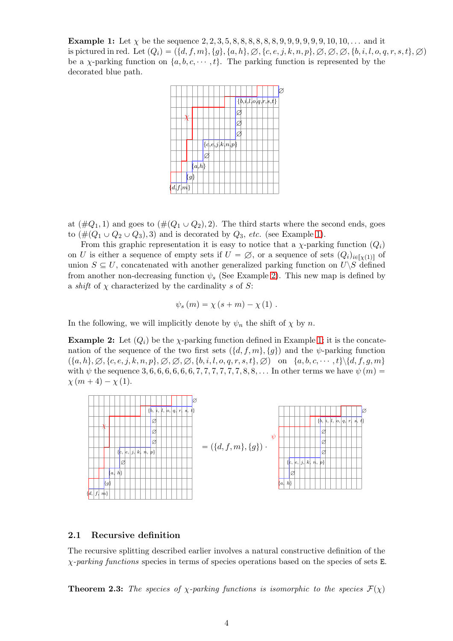<span id="page-3-1"></span>**Example 1:** Let  $\chi$  be the sequence 2, 2, 3, 5, 8, 8, 8, 8, 8, 8, 9, 9, 9, 9, 9, 9, 10, 10, ... and it is pictured in red. Let  $(Q_i) = (\{d, f, m\}, \{g\}, \{a, h\}, \emptyset, \{c, e, j, k, n, p\}, \emptyset, \emptyset, \emptyset, \{b, i, l, o, q, r, s, t\}, \emptyset)$ be a *χ*-parking function on  $\{a, b, c, \dots, t\}$ . The parking function is represented by the decorated blue path.

|         |         |                      |                          |  |                 |                           | ${b,i,l,o,q,r,s,t}$ |  |  |  |
|---------|---------|----------------------|--------------------------|--|-----------------|---------------------------|---------------------|--|--|--|
|         |         |                      |                          |  |                 | ø                         |                     |  |  |  |
|         |         |                      |                          |  |                 | $\varphi$                 |                     |  |  |  |
|         |         |                      |                          |  |                 | $\overline{\overline{z}}$ |                     |  |  |  |
|         |         |                      |                          |  | ${c,e,j,k,n,p}$ |                           |                     |  |  |  |
|         |         |                      | $\overline{\varnothing}$ |  |                 |                           |                     |  |  |  |
|         |         | $\overline{\{a,h\}}$ |                          |  |                 |                           |                     |  |  |  |
|         |         |                      |                          |  |                 |                           |                     |  |  |  |
|         | $\{g\}$ |                      |                          |  |                 |                           |                     |  |  |  |
| d, f, m |         |                      |                          |  |                 |                           |                     |  |  |  |

at  $(\#Q_1, 1)$  and goes to  $(\#(Q_1 \cup Q_2), 2)$ . The third starts where the second ends, goes to  $(\#(Q_1 \cup Q_2 \cup Q_3), 3)$  and is decorated by  $Q_3$ , etc. (see Example [1\)](#page-3-1).

From this graphic representation it is easy to notice that a  $\chi$ -parking function  $(Q_i)$ on U is either a sequence of empty sets if  $U = \emptyset$ , or a sequence of sets  $(Q_i)_{i \in [\sqrt{1}]}$  of union  $S \subseteq U$ , concatenated with another generalized parking function on  $U\backslash S$  defined from another non-decreasing function  $\psi_s$  (See Example [2\)](#page-3-2). This new map is defined by a *shift* of  $\chi$  characterized by the cardinality s of S:

$$
\psi_s(m) = \chi(s+m) - \chi(1) .
$$

In the following, we will implicitly denote by  $\psi_n$  the shift of  $\chi$  by n.

<span id="page-3-2"></span>**Example 2:** Let  $(Q_i)$  be the  $\chi$ -parking function defined in Example [1;](#page-3-1) it is the concatenation of the sequence of the two first sets  $(\{d, f, m\}, \{g\})$  and the  $\psi$ -parking function  $(\{a, h\}, \emptyset, \{c, e, j, k, n, p\}, \emptyset, \emptyset, \emptyset, \{b, i, l, o, q, r, s, t\}, \emptyset)$  on  $\{a, b, c, \dots, t\} \setminus \{d, f, g, m\}$ with  $\psi$  the sequence 3, 6, 6, 6, 6, 6, 6, 7, 7, 7, 7, 7, 7, 8, 8, ... In other terms we have  $\psi(m)$  =  $\chi (m + 4) - \chi (1).$ 



## <span id="page-3-0"></span>2.1 Recursive definition

The recursive splitting described earlier involves a natural constructive definition of the  $\chi$ -parking functions species in terms of species operations based on the species of sets E.

<span id="page-3-3"></span>**Theorem 2.3:** The species of  $\chi$ -parking functions is isomorphic to the species  $\mathcal{F}(\chi)$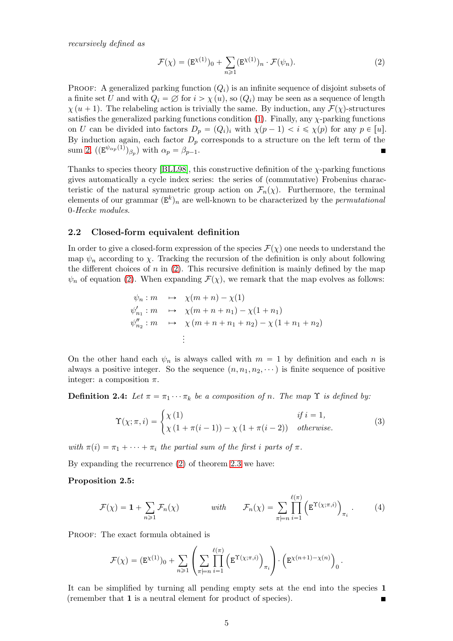recursively defined as

<span id="page-4-1"></span>
$$
\mathcal{F}(\chi) = (\mathbf{E}^{\chi(1)})_0 + \sum_{n \ge 1} (\mathbf{E}^{\chi(1)})_n \cdot \mathcal{F}(\psi_n).
$$
 (2)

PROOF: A generalized parking function  $(Q_i)$  is an infinite sequence of disjoint subsets of a finite set U and with  $Q_i = \emptyset$  for  $i > \chi(u)$ , so  $(Q_i)$  may be seen as a sequence of length  $\chi (u + 1)$ . The relabeling action is trivially the same. By induction, any  $\mathcal{F}(\chi)$ -structures satisfies the generalized parking functions condition [\(1\)](#page-2-1). Finally, any  $\chi$ -parking functions on U can be divided into factors  $D_p = (Q_i)_i$  with  $\chi(p-1) < i \leq \chi(p)$  for any  $p \in [u]$ . By induction again, each factor  $D_p$  corresponds to a structure on the left term of the sum [2,](#page-4-1)  $((\mathbf{E}^{\psi_{\alpha_p}(1)})_{\beta_p})$  with  $\alpha_p = \beta_{p-1}$ .

Thanks to species theory [\[BLL98\]](#page-11-4), this constructive definition of the  $\chi$ -parking functions gives automatically a cycle index series: the series of (commutative) Frobenius characteristic of the natural symmetric group action on  $\mathcal{F}_n(\chi)$ . Furthermore, the terminal elements of our grammar  $(\mathbf{E}^k)_n$  are well-known to be characterized by the *permutational* 0-Hecke modules.

## <span id="page-4-0"></span>2.2 Closed-form equivalent definition

In order to give a closed-form expression of the species  $\mathcal{F}(\chi)$  one needs to understand the map  $\psi_n$  according to  $\chi$ . Tracking the recursion of the definition is only about following the different choices of n in  $(2)$ . This recursive definition is mainly defined by the map  $\psi_n$  of equation [\(2\)](#page-3-1). When expanding  $\mathcal{F}(\chi)$ , we remark that the map evolves as follows:

$$
\psi_n : m \longrightarrow \chi(m+n) - \chi(1)
$$
  
\n
$$
\psi'_{n_1} : m \longrightarrow \chi(m+n+n_1) - \chi(1+n_1)
$$
  
\n
$$
\psi''_{n_2} : m \longrightarrow \chi(m+n+n_1+n_2) - \chi(1+n_1+n_2)
$$
  
\n
$$
\vdots
$$

On the other hand each  $\psi_n$  is always called with  $m = 1$  by definition and each n is always a positive integer. So the sequence  $(n, n_1, n_2, \cdots)$  is finite sequence of positive integer: a composition  $\pi$ .

**Definition 2.4:** Let  $\pi = \pi_1 \cdots \pi_k$  be a composition of n. The map  $\Upsilon$  is defined by:

<span id="page-4-2"></span>
$$
\Upsilon(\chi;\pi,i) = \begin{cases} \chi(1) & \text{if } i = 1, \\ \chi(1+\pi(i-1)) - \chi(1+\pi(i-2)) & otherwise. \end{cases}
$$
(3)

with  $\pi(i) = \pi_1 + \cdots + \pi_i$  the partial sum of the first i parts of  $\pi$ .

By expanding the recurrence [\(2\)](#page-4-1) of theorem [2.3](#page-3-3) we have:

## Proposition 2.5:

$$
\mathcal{F}(\chi) = \mathbf{1} + \sum_{n \geq 1} \mathcal{F}_n(\chi) \qquad \text{with} \qquad \mathcal{F}_n(\chi) = \sum_{\pi \models n} \prod_{i=1}^{\ell(\pi)} \left( \mathbf{E}^{\Upsilon(\chi; \pi, i)} \right)_{\pi_i} . \tag{4}
$$

PROOF: The exact formula obtained is

$$
\mathcal{F}(\chi) = (\mathbf{E}^{\chi(1)})_0 + \sum_{n \geq 1} \left( \sum_{\pi \models n} \prod_{i=1}^{\ell(\pi)} \left( \mathbf{E}^{\Upsilon(\chi; \pi, i)} \right)_{\pi_i} \right) \cdot \left( \mathbf{E}^{\chi(n+1) - \chi(n)} \right)_0.
$$

It can be simplified by turning all pending empty sets at the end into the species 1 (remember that 1 is a neutral element for product of species).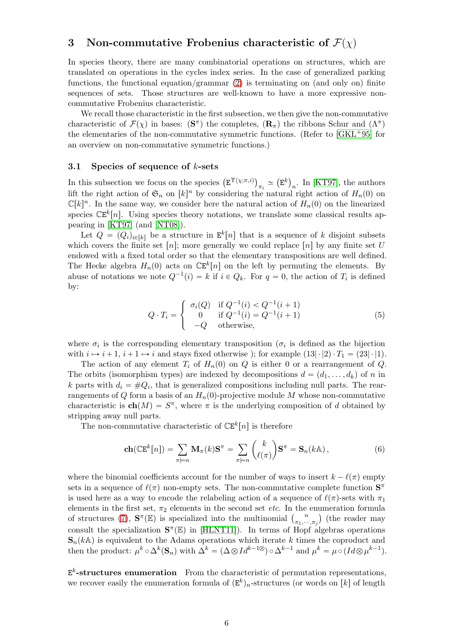# <span id="page-5-0"></span>3 Non-commutative Frobenius characteristic of  $\mathcal{F}(\chi)$

In species theory, there are many combinatorial operations on structures, which are translated on operations in the cycles index series. In the case of generalized parking functions, the functional equation/grammar [\(2\)](#page-4-1) is terminating on (and only on) finite sequences of sets. Those structures are well-known to have a more expressive noncommutative Frobenius characteristic.

We recall those characteristic in the first subsection, we then give the non-commutative characteristic of  $\mathcal{F}(\chi)$  in bases:  $(\mathbf{S}^{\pi})$  the completes,  $(\mathbf{R}_{\pi})$  the ribbons Schur and  $(\Lambda^{\pi})$ the elementaries of the non-commutative symmetric functions. (Refer to  $[GKL^+95]$  for an overview on non-commutative symmetric functions.)

## <span id="page-5-1"></span>3.1 Species of sequence of  $k$ -sets

In this subsection we focus on the species  $(E^{\Upsilon(\chi;\pi,i)})_{\pi_i} \simeq (E^k)_n$ . In [\[KT97\]](#page-11-6), the authors lift the right action of  $\mathfrak{S}_n$  on  $[k]^n$  by considering the natural right action of  $H_n(0)$  on  $\mathbb{C}[k]^n$ . In the same way, we consider here the natural action of  $H_n(0)$  on the linearized species  $\mathbb{CE}^{k}[n]$ . Using species theory notations, we translate some classical results appearing in [\[KT97\]](#page-11-6) (and [\[NT08\]](#page-11-3)).

Let  $Q = (Q_i)_{i \in [k]}$  be a structure in  $E^k[n]$  that is a sequence of k disjoint subsets which covers the finite set  $[n]$ ; more generally we could replace  $[n]$  by any finite set U endowed with a fixed total order so that the elementary transpositions are well defined. The Hecke algebra  $H_n(0)$  acts on  $\mathbb{CE}^k[n]$  on the left by permuting the elements. By abuse of notations we note  $Q^{-1}(i) = k$  if  $i \in Q_k$ . For  $q = 0$ , the action of  $T_i$  is defined by:

$$
Q \cdot T_i = \begin{cases} \sigma_i(Q) & \text{if } Q^{-1}(i) < Q^{-1}(i+1) \\ 0 & \text{if } Q^{-1}(i) = Q^{-1}(i+1) \\ -Q & \text{otherwise,} \end{cases} \tag{5}
$$

where  $\sigma_i$  is the corresponding elementary transposition ( $\sigma_i$  is defined as the bijection with  $i \mapsto i+1$ ,  $i+1 \mapsto i$  and stays fixed otherwise ); for example  $(13|\cdot|2) \cdot T_1 = (23|\cdot|1)$ .

The action of any element  $T_i$  of  $H_n(0)$  on Q is either 0 or a rearrangement of Q. The orbits (isomorphism types) are indexed by decompositions  $d = (d_1, \ldots, d_k)$  of n in k parts with  $d_i = \#Q_i$ , that is generalized compositions including null parts. The rearrangements of Q form a basis of an  $H_n(0)$ -projective module M whose non-commutative characteristic is  $\mathbf{ch}(M) = S^{\pi}$ , where  $\pi$  is the underlying composition of d obtained by stripping away null parts.

The non-commutative characteristic of  $\mathbb{CE}^{k}[n]$  is therefore

<span id="page-5-2"></span>
$$
\mathbf{ch}(\mathbb{CE}^k[n]) = \sum_{\pi \models n} \mathbf{M}_{\pi}(k) \mathbf{S}^{\pi} = \sum_{\pi \models n} \binom{k}{\ell(\pi)} \mathbf{S}^{\pi} = \mathbf{S}_n(k\mathbb{A}), \tag{6}
$$

where the binomial coefficients account for the number of ways to insert  $k - \ell(\pi)$  empty sets in a sequence of  $\ell(\pi)$  non-empty sets. The non-commutative complete function  $S^{\pi}$ is used here as a way to encode the relabeling action of a sequence of  $\ell(\pi)$ -sets with  $\pi_1$ elements in the first set,  $\pi_2$  elements in the second set *etc*. In the enumeration formula of structures [\(7\)](#page-6-1),  $\mathbf{S}^{\pi}(\mathbb{E})$  is specialized into the multinomial  $\binom{n}{\pi}$ .  $\binom{n}{\pi_1,\cdots,\pi_j}$  (the reader may consult the specialization  $\mathbf{S}^{\pi}(\mathbb{E})$  in [\[HLNT11\]](#page-11-7)). In terms of Hopf algebras operations  $\mathbf{S}_n(k\mathbb{A})$  is equivalent to the Adams operations which iterate k times the coproduct and then the product:  $\mu^k \circ \Delta^k (\mathbf{S}_n)$  with  $\Delta^k = (\Delta \otimes Id^{k-1} \otimes) \circ \Delta^{k-1}$  and  $\mu^k = \mu \circ (Id \otimes \mu^{k-1})$ .

 $E^k$ -structures enumeration From the characteristic of permutation representations, we recover easily the enumeration formula of  $(\mathbf{E}^k)_n$ -structures (or words on  $[k]$  of length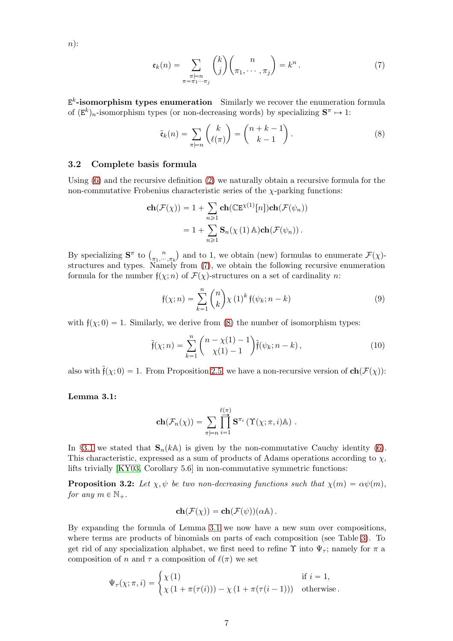$n)$ :

<span id="page-6-1"></span>
$$
\mathfrak{e}_k(n) = \sum_{\substack{\pi \models n \\ \pi = \pi_1 \cdots \pi_j}} \binom{k}{j} \binom{n}{\pi_1, \cdots, \pi_j} = k^n.
$$
 (7)

 $E^k$ -isomorphism types enumeration Similarly we recover the enumeration formula of  $(\mathbf{E}^k)_n$ -isomorphism types (or non-decreasing words) by specializing  $\mathbf{S}^{\pi} \mapsto 1$ :

<span id="page-6-2"></span>
$$
\tilde{\mathfrak{e}}_k(n) = \sum_{\pi \models n} \binom{k}{\ell(\pi)} = \binom{n+k-1}{k-1}.
$$
\n(8)

## <span id="page-6-0"></span>3.2 Complete basis formula

Using [\(6\)](#page-5-2) and the recursive definition [\(2\)](#page-4-1) we naturally obtain a recursive formula for the non-commutative Frobenius characteristic series of the  $\chi$ -parking functions:

$$
\mathbf{ch}(\mathcal{F}(\chi)) = 1 + \sum_{n \ge 1} \mathbf{ch}(\mathbb{CE}^{\chi(1)}[n]) \mathbf{ch}(\mathcal{F}(\psi_n))
$$

$$
= 1 + \sum_{n \ge 1} \mathbf{S}_n(\chi(1) \mathbb{A}) \mathbf{ch}(\mathcal{F}(\psi_n)).
$$

By specializing  $S^{\pi}$  to  $\binom{n}{\pi}$ ...  $\binom{n}{\pi_1,\cdots,\pi_k}$  and to 1, we obtain (new) formulas to enumerate  $\mathcal{F}(\chi)$ structures and types. Namely from [\(7\)](#page-6-1), we obtain the following recursive enumeration formula for the number  $f(\chi; n)$  of  $\mathcal{F}(\chi)$ -structures on a set of cardinality n:

<span id="page-6-5"></span><span id="page-6-4"></span>
$$
\mathfrak{f}(\chi;n) = \sum_{k=1}^{n} \binom{n}{k} \chi(1)^k \mathfrak{f}(\psi_k;n-k) \tag{9}
$$

with  $f(\chi; 0) = 1$ . Similarly, we derive from [\(8\)](#page-6-2) the number of isomorphism types:

$$
\tilde{\mathfrak{f}}(\chi;n) = \sum_{k=1}^{n} {n - \chi(1) - 1 \choose \chi(1) - 1} \tilde{\mathfrak{f}}(\psi_k;n-k), \qquad (10)
$$

<span id="page-6-3"></span>also with  $\tilde{f}(\chi; 0) = 1$ . From Proposition [2.5,](#page-4-2) we have a non-recursive version of  $ch(\mathcal{F}(\chi))$ :

## Lemma 3.1:

$$
\mathbf{ch}(\mathcal{F}_n(\chi)) = \sum_{\pi \models n} \prod_{i=1}^{\ell(\pi)} \mathbf{S}^{\pi_i} \left( \Upsilon(\chi; \pi, i) \mathbb{A} \right) .
$$

In §[3.1](#page-5-1) we stated that  $\mathbf{S}_n(k\mathbb{A})$  is given by the non-commutative Cauchy identity [\(6\)](#page-5-2). This characteristic, expressed as a sum of products of Adams operations according to  $\chi$ , lifts trivially [\[KY03,](#page-11-2) Corollary 5.6] in non-commutative symmetric functions:

**Proposition 3.2:** Let  $\chi, \psi$  be two non-decreasing functions such that  $\chi(m) = \alpha \psi(m)$ , for any  $m \in \mathbb{N}_+$ .

$$
\mathbf{ch}(\mathcal{F}(\chi)) = \mathbf{ch}(\mathcal{F}(\psi))(\alpha \mathbb{A}).
$$

By expanding the formula of Lemma [3.1](#page-6-3) we now have a new sum over compositions, where terms are products of binomials on parts of each composition (see Table [3\)](#page-7-1). To get rid of any specialization alphabet, we first need to refine  $\Upsilon$  into  $\Psi_{\tau}$ ; namely for  $\pi$  a composition of n and  $\tau$  a composition of  $\ell(\pi)$  we set

$$
\Psi_{\tau}(\chi;\pi,i) = \begin{cases} \chi(1) & \text{if } i = 1, \\ \chi(1 + \pi(\tau(i))) - \chi(1 + \pi(\tau(i-1))) & \text{otherwise.} \end{cases}
$$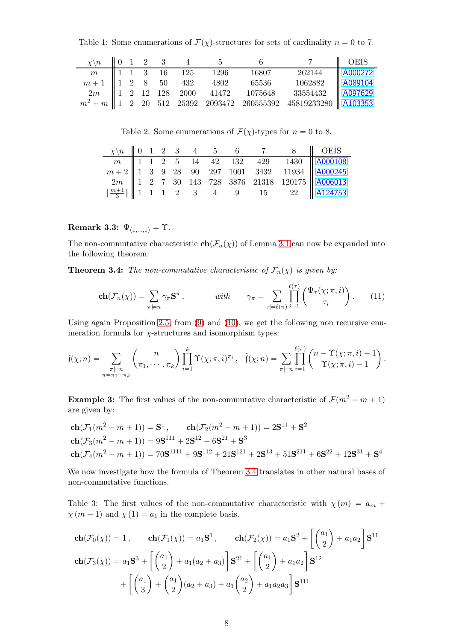Table 1: Some enumerations of  $\mathcal{F}(\chi)$ -structures for sets of cardinality  $n = 0$  to 7.

|  |  |  | $\chi \backslash n$    0 1 2 3 4 5 6 | 7    OEIS |  |
|--|--|--|--------------------------------------|-----------|--|
|  |  |  |                                      |           |  |
|  |  |  |                                      |           |  |
|  |  |  |                                      |           |  |
|  |  |  |                                      |           |  |

Table 2: Some enumerations of  $\mathcal{F}(\chi)$ -types for  $n = 0$  to 8.

|  |  |  |  |  | $\chi \backslash n$ 0 1 2 3 4 5 6 7 8 0 OEIS                                                                                                                                                                                                                                                                              |
|--|--|--|--|--|---------------------------------------------------------------------------------------------------------------------------------------------------------------------------------------------------------------------------------------------------------------------------------------------------------------------------|
|  |  |  |  |  |                                                                                                                                                                                                                                                                                                                           |
|  |  |  |  |  |                                                                                                                                                                                                                                                                                                                           |
|  |  |  |  |  |                                                                                                                                                                                                                                                                                                                           |
|  |  |  |  |  | $\begin{array}{c cccccc} \hline m & 1 & 1 & 2 & 5 & 14 & 42 & 132 & 429 & 1430 & A000108 \\ \hline m+2 & 1 & 3 & 9 & 28 & 90 & 297 & 1001 & 3432 & 11934 & A000245 \\ 2m & 1 & 2 & 7 & 30 & 143 & 728 & 3876 & 21318 & 120175 & A006013 \\ \hline \left[ \frac{m+1}{3} \right] & 1 & 1 & 1 & 2 & 3 & 4 & 9 & 15 & 22 & A$ |

# Remark 3.3:  $\Psi_{(1,...,1)} = \Upsilon$ .

The non-commutative characteristic  $\mathbf{ch}(\mathcal{F}_n(\chi))$  of Lemma [3.1](#page-6-3) can now be expanded into the following theorem:

**Theorem 3.4:** The non-commutative characteristic of  $\mathcal{F}_n(\chi)$  is given by:

<span id="page-7-0"></span>
$$
\mathbf{ch}(\mathcal{F}_n(\chi)) = \sum_{\pi \models n} \gamma_{\pi} \mathbf{S}^{\pi}, \qquad \text{with} \qquad \gamma_{\pi} = \sum_{\tau \models \ell(\pi)} \prod_{i=1}^{\ell(\tau)} \binom{\Psi_{\tau}(\chi; \pi, i)}{\tau_i}. \tag{11}
$$

Using again Proposition [2.5,](#page-4-2) from [\(9\)](#page-6-4) and [\(10\)](#page-6-5), we get the following non recursive enumeration formula for  $\chi$ -structures and isomorphism types:

$$
\mathfrak{f}(\chi;n) = \sum_{\substack{\pi \models n \\ \pi = \pi_1 \cdots \pi_k}} {n \choose \pi_1, \cdots, \pi_k} \prod_{i=1}^k \Upsilon(\chi;\pi,i)^{\pi_i}, \quad \tilde{\mathfrak{f}}(\chi;n) = \sum_{\pi \models n} \prod_{i=1}^{\ell(\pi)} {n - \Upsilon(\chi;\pi,i) - 1 \choose \Upsilon(\chi;\pi,i) - 1}.
$$

**Example 3:** The first values of the non-commutative characteristic of  $\mathcal{F}(m^2 - m + 1)$ are given by:

$$
\mathbf{ch}(\mathcal{F}_1(m^2 - m + 1)) = \mathbf{S}^1, \qquad \mathbf{ch}(\mathcal{F}_2(m^2 - m + 1)) = 2\mathbf{S}^{11} + \mathbf{S}^2
$$
\n
$$
\mathbf{ch}(\mathcal{F}_3(m^2 - m + 1)) = 9\mathbf{S}^{111} + 2\mathbf{S}^{12} + 6\mathbf{S}^{21} + \mathbf{S}^3
$$
\n
$$
\mathbf{ch}(\mathcal{F}_4(m^2 - m + 1)) = 70\mathbf{S}^{1111} + 9\mathbf{S}^{112} + 21\mathbf{S}^{121} + 2\mathbf{S}^{13} + 51\mathbf{S}^{211} + 6\mathbf{S}^{22} + 12\mathbf{S}^{31} + \mathbf{S}^4
$$

We now investigate how the formula of Theorem [3.4](#page-7-0) translates in other natural bases of non-commutative functions.

<span id="page-7-1"></span>Table 3: The first values of the non-commutative characteristic with  $\chi(m) = a_m +$  $\chi$  (*m* - 1) and  $\chi$  (1) =  $a_1$  in the complete basis.

$$
\mathbf{ch}(\mathcal{F}_0(\chi)) = 1, \qquad \mathbf{ch}(\mathcal{F}_1(\chi)) = a_1 \mathbf{S}^1, \qquad \mathbf{ch}(\mathcal{F}_2(\chi)) = a_1 \mathbf{S}^2 + \left[ \binom{a_1}{2} + a_1 a_2 \right] \mathbf{S}^{11}
$$
\n
$$
\mathbf{ch}(\mathcal{F}_3(\chi)) = a_1 \mathbf{S}^3 + \left[ \binom{a_1}{2} + a_1 (a_2 + a_3) \right] \mathbf{S}^{21} + \left[ \binom{a_1}{2} + a_1 a_2 \right] \mathbf{S}^{12}
$$
\n
$$
+ \left[ \binom{a_1}{3} + \binom{a_1}{2} (a_2 + a_3) + a_1 \binom{a_2}{2} + a_1 a_2 a_3 \right] \mathbf{S}^{111}
$$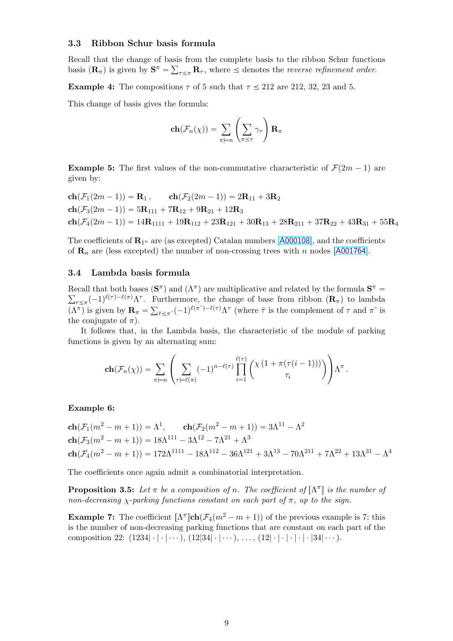## <span id="page-8-0"></span>3.3 Ribbon Schur basis formula

Recall that the change of basis from the complete basis to the ribbon Schur functions basis  $(\mathbf{R}_{\pi})$  is given by  $\mathbf{S}^{\pi} = \sum_{\tau \leq \pi} \mathbf{R}_{\tau}$ , where  $\leq$  denotes the *reverse refinement order*.

**Example 4:** The compositions  $\tau$  of 5 such that  $\tau \le 212$  are 212, 32, 23 and 5.

This change of basis gives the formula:

$$
\mathbf{ch}(\mathcal{F}_n(\chi)) = \sum_{\pi \models n} \left( \sum_{\pi \leq \tau} \gamma_{\tau} \right) \mathbf{R}_{\pi}
$$

**Example 5:** The first values of the non-commutative characteristic of  $\mathcal{F}(2m - 1)$  are given by:

 $ch(\mathcal{F}_1(2m - 1)) = \mathbf{R}_1$ ,  $ch(\mathcal{F}_2(2m - 1)) = 2\mathbf{R}_{11} + 3\mathbf{R}_2$  $ch(\mathcal{F}_3(2m - 1)) = 5R_{111} + 7R_{12} + 9R_{21} + 12R_3$  $ch(\mathcal{F}_4(2m - 1)) = 14\mathbf{R}_{1111} + 19\mathbf{R}_{112} + 23\mathbf{R}_{121} + 30\mathbf{R}_{13} + 28\mathbf{R}_{211} + 37\mathbf{R}_{22} + 43\mathbf{R}_{31} + 55\mathbf{R}_{4}$ 

The coefficients of  $\mathbf{R}_{1^n}$  are (as excepted) Catalan numbers [[A000108](http://oeis.org/A000108)], and the coefficients of  $\mathbf{R}_n$  are (less excepted) the number of non-crossing trees with n nodes [[A001764](http://oeis.org/A001764)].

### <span id="page-8-1"></span>3.4 Lambda basis formula

Recall that both bases  $(S^{\pi})$  and  $(\Lambda^{\pi})$  are multiplicative and related by the formula  $S^{\pi}$  =  $\sum_{\tau\leq\pi}(-1)^{\ell(\tau)-\ell(\pi)}\Lambda^{\tau}$ . Furthermore, the change of base from ribbon  $(\mathbf{R}_{\pi})$  to lambda  $(\Lambda^{\pi})$  is given by  $\mathbf{R}_{\pi} = \sum_{\bar{\tau} \preceq \pi^{\sim}} (-1)^{\ell(\pi^{\sim})-\ell(\tau)} \Lambda^{\tau}$  (where  $\bar{\tau}$  is the complement of  $\tau$  and  $\pi^{\sim}$  is the conjugate of  $\pi$ ) the conjugate of  $\pi$ ).

It follows that, in the Lambda basis, the characteristic of the module of parking functions is given by an alternating sum:

<span id="page-8-2"></span>
$$
\mathbf{ch}(\mathcal{F}_n(\chi)) = \sum_{\pi \models n} \left( \sum_{\tau \models \ell(\pi)} (-1)^{n-\ell(\tau)} \prod_{i=1}^{\ell(\tau)} \left( \chi\left(1 + \pi(\tau(i-1))\right) \right) \right) \Lambda^{\pi}.
$$

#### Example 6:

$$
\mathbf{ch}(\mathcal{F}_1(m^2 - m + 1)) = \Lambda^1, \qquad \mathbf{ch}(\mathcal{F}_2(m^2 - m + 1)) = 3\Lambda^{11} - \Lambda^2
$$
\n
$$
\mathbf{ch}(\mathcal{F}_3(m^2 - m + 1)) = 18\Lambda^{111} - 3\Lambda^{12} - 7\Lambda^{21} + \Lambda^3
$$
\n
$$
\mathbf{ch}(\mathcal{F}_4(m^2 - m + 1)) = 172\Lambda^{1111} - 18\Lambda^{112} - 36\Lambda^{121} + 3\Lambda^{13} - 70\Lambda^{211} + 7\Lambda^{22} + 13\Lambda^{31} - \Lambda^4
$$

The coefficients once again admit a combinatorial interpretation.

**Proposition 3.5:** Let  $\pi$  be a composition of n. The coefficient of  $[\Lambda^{\pi}]$  is the number of non-decreasing  $\chi$ -parking functions constant on each part of  $\pi$ , up to the sign.

**Example 7:** The coefficient  $[\Lambda^{\pi}]$ **ch** $(\mathcal{F}_4(m^2 - m + 1))$  of the previous example is 7; this is the number of non-decreasing parking functions that are constant on each part of the composition 22:  $(1234 | \cdot | \cdot | \cdot \cdot \cdot), (12|34 | \cdot | \cdot \cdot \cdot), \dots, (12| \cdot | \cdot | \cdot | \cdot | \cdot | 34 | \cdot \cdot \cdot).$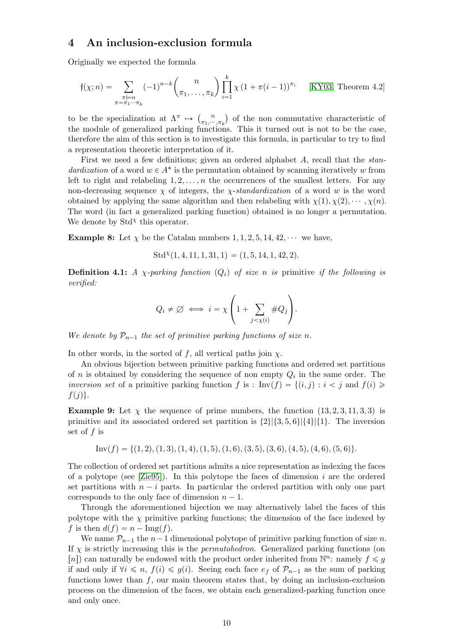# <span id="page-9-0"></span>4 An inclusion-exclusion formula

Originally we expected the formula

$$
\mathfrak{f}(\chi;n) = \sum_{\substack{\pi \models n \\ \pi = \pi_1 \cdots \pi_k}} (-1)^{n-k} {n \choose \pi_1, \ldots, \pi_k} \prod_{i=1}^k \chi(1 + \pi(i-1))^{\pi_i} \qquad [\text{KY03, Theorem 4.2}]
$$

to be the specialization at  $\Lambda^{\pi} \mapsto \begin{pmatrix} n \\ n \end{pmatrix}$  $\binom{n}{\pi_1,\cdots,\pi_k}$  of the non commutative characteristic of the module of generalized parking functions. This it turned out is not to be the case, therefore the aim of this section is to investigate this formula, in particular to try to find a representation theoretic interpretation of it.

First we need a few definitions; given an ordered alphabet A, recall that the standardization of a word  $w \in A^*$  is the permutation obtained by scanning iteratively w from left to right and relabeling  $1, 2, \ldots, n$  the occurrences of the smallest letters. For any non-decreasing sequence  $\chi$  of integers, the *χ-standardization* of a word w is the word obtained by applying the same algorithm and then relabeling with  $\chi(1), \chi(2), \cdots, \chi(n)$ . The word (in fact a generalized parking function) obtained is no longer a permutation. We denote by  $Std^{\chi}$  this operator.

**Example 8:** Let  $\chi$  be the Catalan numbers 1, 1, 2, 5, 14, 42,  $\cdots$  we have,

$$
Std^{\chi}(1, 4, 11, 1, 31, 1) = (1, 5, 14, 1, 42, 2).
$$

**Definition 4.1:** A *χ*-parking function  $(Q_i)$  of size n is primitive if the following is verified:

$$
Q_i \neq \varnothing \iff i = \chi \left( 1 + \sum_{j < \chi(i)} \# Q_j \right).
$$

We denote by  $\mathcal{P}_{n-1}$  the set of primitive parking functions of size n.

In other words, in the sorted of f, all vertical paths join  $\chi$ .

An obvious bijection between primitive parking functions and ordered set partitions of *n* is obtained by considering the sequence of non empty  $Q_i$  in the same order. The inversion set of a primitive parking function f is :  $\text{Inv}(f) = \{(i, j) : i < j \text{ and } f(i) \geq \emptyset\}$  $f(j)\}.$ 

**Example 9:** Let  $\chi$  the sequence of prime numbers, the function  $(13, 2, 3, 11, 3, 3)$  is primitive and its associated ordered set partition is  $\{2\}|\{3, 5, 6\}|\{4\}|\{1\}$ . The inversion set of  $f$  is

Inv
$$
(f)
$$
 = { $(1, 2), (1, 3), (1, 4), (1, 5), (1, 6), (3, 5), (3, 6), (4, 5), (4, 6), (5, 6)$  }.

The collection of ordered set partitions admits a nice representation as indexing the faces of a polytope (see  $[Zie95]$ ). In this polytope the faces of dimension i are the ordered set partitions with  $n - i$  parts. In particular the ordered partition with only one part corresponds to the only face of dimension  $n - 1$ .

Through the aforementioned bijection we may alternatively label the faces of this polytope with the  $\chi$  primitive parking functions; the dimension of the face indexed by f is then  $d(f) = n - \text{Img}(f)$ .

<span id="page-9-1"></span>We name  $\mathcal{P}_{n-1}$  the  $n-1$  dimensional polytope of primitive parking function of size n. If  $\chi$  is strictly increasing this is the *permutohedron*. Generalized parking functions (on [n]) can naturally be endowed with the product order inherited from  $\mathbb{N}^n$ : namely  $f \leq g$ if and only if  $\forall i \leq n$ ,  $f(i) \leq g(i)$ . Seeing each face  $e_f$  of  $\mathcal{P}_{n-1}$  as the sum of parking functions lower than  $f$ , our main theorem states that, by doing an inclusion-exclusion process on the dimension of the faces, we obtain each generalized-parking function once and only once.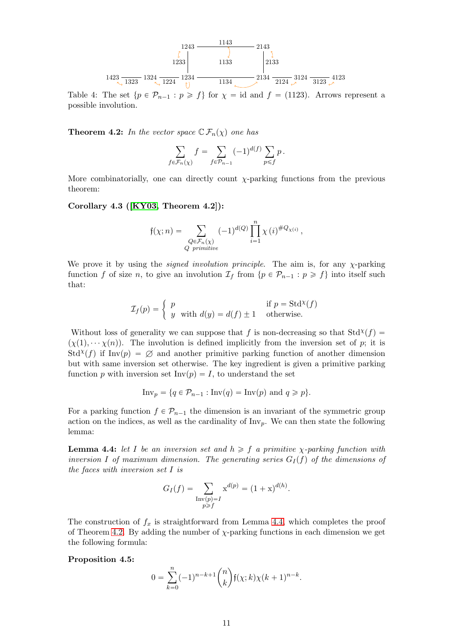

Table 4: The set  $\{p \in \mathcal{P}_{n-1} : p \geq f\}$  for  $\chi = id$  and  $f = (1123)$ . Arrows represent a possible involution.

**Theorem 4.2:** In the vector space  $\mathbb{C} \mathcal{F}_n(\chi)$  one has

$$
\sum_{f \in \mathcal{F}_n(\chi)} f = \sum_{f \in \mathcal{P}_{n-1}} (-1)^{d(f)} \sum_{p \leq f} p.
$$

More combinatorially, one can directly count  $\chi$ -parking functions from the previous theorem:

## Corollary 4.3 ([\[KY03,](#page-11-2) Theorem 4.2]):

$$
\mathfrak{f}(\chi;n) = \sum_{\substack{Q \in \mathcal{F}_n(\chi) \\ Q \ \text{primitive}}} (-1)^{d(Q)} \prod_{i=1}^n \chi(i)^{\#Q_{\chi(i)}},
$$

We prove it by using the *signed involution principle*. The aim is, for any  $\chi$ -parking function f of size n, to give an involution  $\mathcal{I}_f$  from  $\{p \in \mathcal{P}_{n-1} : p \geq f\}$  into itself such that:

$$
\mathcal{I}_f(p) = \begin{cases} p & \text{if } p = \text{Std}^{\chi}(f) \\ y & \text{with } d(y) = d(f) \pm 1 & \text{otherwise.} \end{cases}
$$

Without loss of generality we can suppose that f is non-decreasing so that  $Std^{\chi}(f)$  =  $(\chi(1), \cdots \chi(n))$ . The involution is defined implicitly from the inversion set of p; it is  $Std<sup>X</sup>(f)$  if Inv(p) =  $\emptyset$  and another primitive parking function of another dimension but with same inversion set otherwise. The key ingredient is given a primitive parking function p with inversion set Inv $(p) = I$ , to understand the set

$$
\text{Inv}_p = \{ q \in \mathcal{P}_{n-1} : \text{Inv}(q) = \text{Inv}(p) \text{ and } q \geq p \}.
$$

For a parking function  $f \in \mathcal{P}_{n-1}$  the dimension is an invariant of the symmetric group action on the indices, as well as the cardinality of  $\text{Inv}_n$ . We can then state the following lemma:

<span id="page-10-0"></span>**Lemma 4.4:** let I be an inversion set and  $h \geq f$  a primitive  $\chi$ -parking function with inversion I of maximum dimension. The generating series  $G_I(f)$  of the dimensions of the faces with inversion set I is

$$
G_I(f) = \sum_{\substack{\text{Inv}(p) = I \\ p \ge f}} x^{d(p)} = (1 + x)^{d(h)}.
$$

The construction of  $f_x$  is straightforward from Lemma [4.4,](#page-10-0) which completes the proof of Theorem [4.2.](#page-9-1) By adding the number of  $\chi$ -parking functions in each dimension we get the following formula:

### Proposition 4.5:

$$
0 = \sum_{k=0}^{n} (-1)^{n-k+1} {n \choose k} f(x;k) \chi(k+1)^{n-k}.
$$